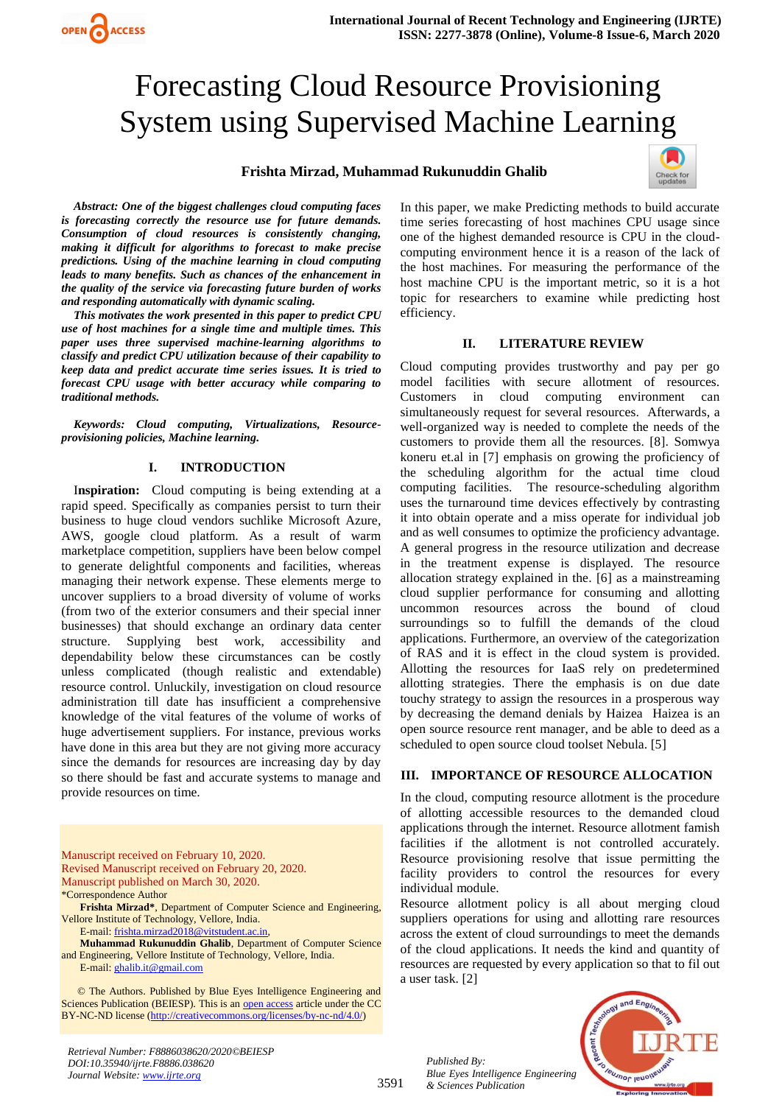# Forecasting Cloud Resource Provisioning System using Supervised Machine Learning

# Methods **Frishta Mirzad, Muhammad Rukunuddin Ghalib**



*Abstract: One of the biggest challenges cloud computing faces is forecasting correctly the resource use for future demands. Consumption of cloud resources is consistently changing, making it difficult for algorithms to forecast to make precise predictions. Using of the machine learning in cloud computing leads to many benefits. Such as chances of the enhancement in the quality of the service via forecasting future burden of works and responding automatically with dynamic scaling.* 

OPEN ACCESS

*This motivates the work presented in this paper to predict CPU use of host machines for a single time and multiple times. This paper uses three supervised machine-learning algorithms to classify and predict CPU utilization because of their capability to keep data and predict accurate time series issues. It is tried to forecast CPU usage with better accuracy while comparing to traditional methods.* 

*Keywords: Cloud computing, Virtualizations, Resourceprovisioning policies, Machine learning.* 

# **I. INTRODUCTION**

I**nspiration:** Cloud computing is being extending at a rapid speed. Specifically as companies persist to turn their business to huge cloud vendors suchlike Microsoft Azure, AWS, google cloud platform. As a result of warm marketplace competition, suppliers have been below compel to generate delightful components and facilities, whereas managing their network expense. These elements merge to uncover suppliers to a broad diversity of volume of works (from two of the exterior consumers and their special inner businesses) that should exchange an ordinary data center structure. Supplying best work, accessibility and dependability below these circumstances can be costly unless complicated (though realistic and extendable) resource control. Unluckily, investigation on cloud resource administration till date has insufficient a comprehensive knowledge of the vital features of the volume of works of huge advertisement suppliers. For instance, previous works have done in this area but they are not giving more accuracy since the demands for resources are increasing day by day so there should be fast and accurate systems to manage and provide resources on time.

Manuscript received on February 10, 2020. Revised Manuscript received on February 20, 2020. Manuscript published on March 30, 2020. \*Correspondence Author

**Frishta Mirzad\***, Department of Computer Science and Engineering, Vellore Institute of Technology, Vellore, India.

E-mail[: frishta.mirzad2018@vitstudent.ac.in,](mailto:frishta.mirzad2018@vitstudent.ac.in)

**Muhammad Rukunuddin Ghalib**, Department of Computer Science and Engineering, Vellore Institute of Technology, Vellore, India. E-mail[: ghalib.it@gmail.com](mailto:ghalib.it@gmail.com)

 © The Authors. Published by Blue Eyes Intelligence Engineering and Sciences Publication (BEIESP). This is an [open access](https://www.openaccess.nl/en/open-publications) article under the CC BY-NC-ND license [\(http://creativecommons.org/licenses/by-nc-nd/4.0/\)](http://creativecommons.org/licenses/by-nc-nd/4.0/)

*Retrieval Number: F8886038620/2020©BEIESP DOI:10.35940/ijrte.F8886.038620 Journal Website: www.ijrte.org*

In this paper, we make Predicting methods to build accurate time series forecasting of host machines CPU usage since one of the highest demanded resource is CPU in the cloudcomputing environment hence it is a reason of the lack of the host machines. For measuring the performance of the host machine CPU is the important metric, so it is a hot topic for researchers to examine while predicting host efficiency.

# **II. LITERATURE REVIEW**

Cloud computing provides trustworthy and pay per go model facilities with secure allotment of resources. Customers in cloud computing environment can simultaneously request for several resources. Afterwards, a well-organized way is needed to complete the needs of the customers to provide them all the resources. [8]. Somwya koneru et.al in [7] emphasis on growing the proficiency of the scheduling algorithm for the actual time cloud computing facilities. The resource-scheduling algorithm uses the turnaround time devices effectively by contrasting it into obtain operate and a miss operate for individual job and as well consumes to optimize the proficiency advantage. A general progress in the resource utilization and decrease in the treatment expense is displayed. The resource allocation strategy explained in the. [6] as a mainstreaming cloud supplier performance for consuming and allotting uncommon resources across the bound of cloud surroundings so to fulfill the demands of the cloud applications. Furthermore, an overview of the categorization of RAS and it is effect in the cloud system is provided. Allotting the resources for IaaS rely on predetermined allotting strategies. There the emphasis is on due date touchy strategy to assign the resources in a prosperous way by decreasing the demand denials by Haizea Haizea is an open source resource rent manager, and be able to deed as a scheduled to open source cloud toolset Nebula. [5]

## **III. IMPORTANCE OF RESOURCE ALLOCATION**

In the cloud, computing resource allotment is the procedure of allotting accessible resources to the demanded cloud applications through the internet. Resource allotment famish facilities if the allotment is not controlled accurately. Resource provisioning resolve that issue permitting the facility providers to control the resources for every individual module.

Resource allotment policy is all about merging cloud suppliers operations for using and allotting rare resources across the extent of cloud surroundings to meet the demands of the cloud applications. It needs the kind and quantity of resources are requested by every application so that to fil out a user task. [2]





3591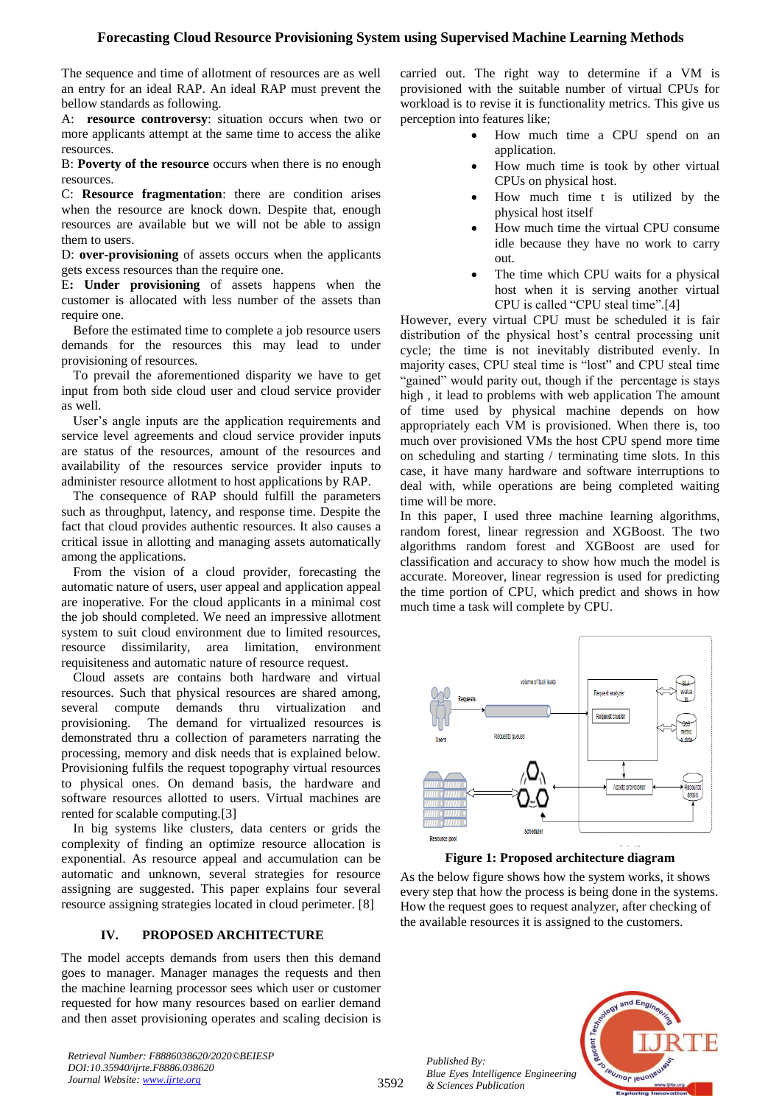# **Forecasting Cloud Resource Provisioning System using Supervised Machine Learning Methods**

The sequence and time of allotment of resources are as well an entry for an ideal RAP. An ideal RAP must prevent the bellow standards as following.

A: **resource controversy**: situation occurs when two or more applicants attempt at the same time to access the alike resources.

B: **Poverty of the resource** occurs when there is no enough resources.

C: **Resource fragmentation**: there are condition arises when the resource are knock down. Despite that, enough resources are available but we will not be able to assign them to users.

D: **over-provisioning** of assets occurs when the applicants gets excess resources than the require one.

E**: Under provisioning** of assets happens when the customer is allocated with less number of the assets than require one.

Before the estimated time to complete a job resource users demands for the resources this may lead to under provisioning of resources.

To prevail the aforementioned disparity we have to get input from both side cloud user and cloud service provider as well.

User's angle inputs are the application requirements and service level agreements and cloud service provider inputs are status of the resources, amount of the resources and availability of the resources service provider inputs to administer resource allotment to host applications by RAP.

The consequence of RAP should fulfill the parameters such as throughput, latency, and response time. Despite the fact that cloud provides authentic resources. It also causes a critical issue in allotting and managing assets automatically among the applications.

From the vision of a cloud provider, forecasting the automatic nature of users, user appeal and application appeal are inoperative. For the cloud applicants in a minimal cost the job should completed. We need an impressive allotment system to suit cloud environment due to limited resources, resource dissimilarity, area limitation, environment requisiteness and automatic nature of resource request.

Cloud assets are contains both hardware and virtual resources. Such that physical resources are shared among, several compute demands thru virtualization and provisioning. The demand for virtualized resources is demonstrated thru a collection of parameters narrating the processing, memory and disk needs that is explained below. Provisioning fulfils the request topography virtual resources to physical ones. On demand basis, the hardware and software resources allotted to users. Virtual machines are rented for scalable computing.[3]

In big systems like clusters, data centers or grids the complexity of finding an optimize resource allocation is exponential. As resource appeal and accumulation can be automatic and unknown, several strategies for resource assigning are suggested. This paper explains four several resource assigning strategies located in cloud perimeter. [8]

## **IV. PROPOSED ARCHITECTURE**

The model accepts demands from users then this demand goes to manager. Manager manages the requests and then the machine learning processor sees which user or customer requested for how many resources based on earlier demand and then asset provisioning operates and scaling decision is

*Retrieval Number: F8886038620/2020©BEIESP DOI:10.35940/ijrte.F8886.038620 Journal Website: www.ijrte.org*

carried out. The right way to determine if a VM is provisioned with the suitable number of virtual CPUs for workload is to revise it is functionality metrics. This give us perception into features like;

- How much time a CPU spend on an application.
- How much time is took by other virtual CPUs on physical host.
- How much time t is utilized by the physical host itself
- How much time the virtual CPU consume idle because they have no work to carry out.
- The time which CPU waits for a physical host when it is serving another virtual CPU is called "CPU steal time".[4]

However, every virtual CPU must be scheduled it is fair distribution of the physical host's central processing unit cycle; the time is not inevitably distributed evenly. In majority cases, CPU steal time is "lost" and CPU steal time "gained" would parity out, though if the percentage is stays high , it lead to problems with web application The amount of time used by physical machine depends on how appropriately each VM is provisioned. When there is, too much over provisioned VMs the host CPU spend more time on scheduling and starting / terminating time slots. In this case, it have many hardware and software interruptions to deal with, while operations are being completed waiting time will be more.

In this paper, I used three machine learning algorithms, random forest, linear regression and XGBoost. The two algorithms random forest and XGBoost are used for classification and accuracy to show how much the model is accurate. Moreover, linear regression is used for predicting the time portion of CPU, which predict and shows in how much time a task will complete by CPU.



**Figure 1: Proposed architecture diagram**

As the below figure shows how the system works, it shows every step that how the process is being done in the systems. How the request goes to request analyzer, after checking of the available resources it is assigned to the customers.





3592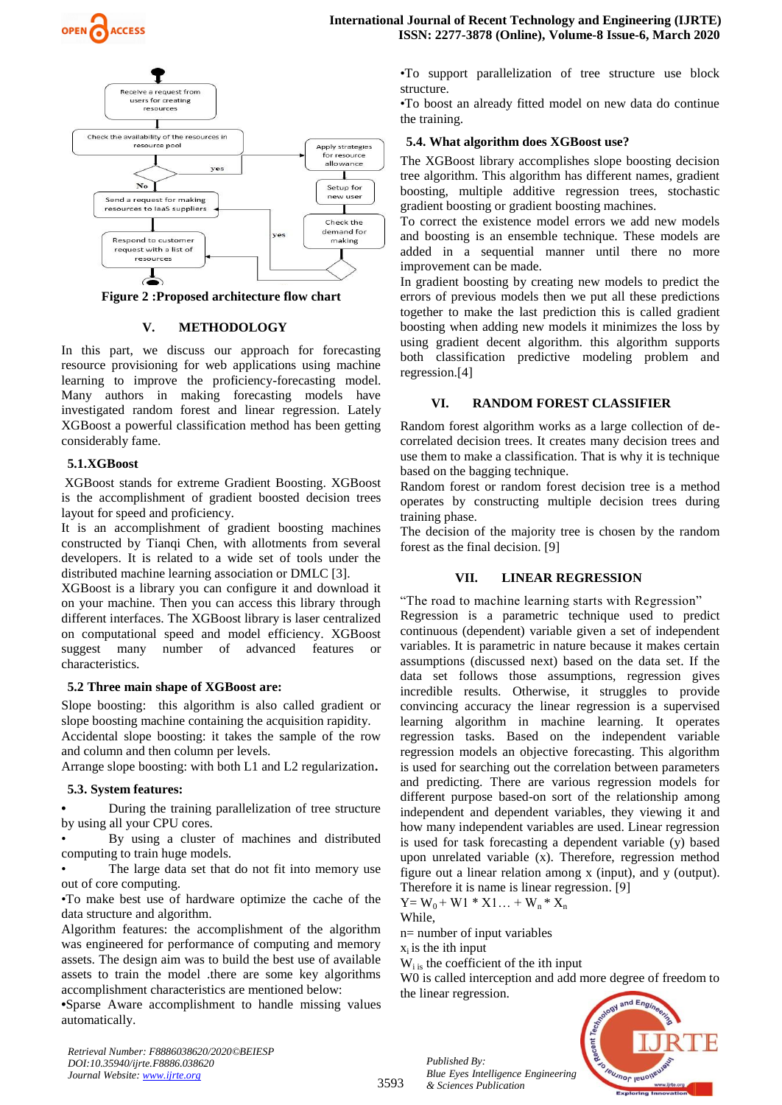



Figure 2 :Proposed architecture flow chart

## **V. METHODOLOGY**

In this part, we discuss our approach for forecasting resource provisioning for web applications using machine learning to improve the proficiency-forecasting model. Many authors in making forecasting models have investigated random forest and linear regression. Lately XGBoost a powerful classification method has been getting considerably fame.

## **5.1.XGBoost**

XGBoost stands for extreme Gradient Boosting. XGBoost is the accomplishment of gradient boosted decision trees layout for speed and proficiency.

It is an accomplishment of gradient boosting machines constructed by Tianqi Chen, with allotments from several developers. It is related to a wide set of tools under the distributed machine learning association or DMLC [3].

XGBoost is a library you can configure it and download it on your machine. Then you can access this library through different interfaces. The XGBoost library is laser centralized on computational speed and model efficiency. XGBoost suggest many number of advanced features or characteristics.

### **5.2 Three main shape of XGBoost are:**

Slope boosting: this algorithm is also called gradient or slope boosting machine containing the acquisition rapidity.

Accidental slope boosting: it takes the sample of the row and column and then column per levels.

Arrange slope boosting: with both L1 and L2 regularization**.**

#### **5.3. System features:**

**•** During the training parallelization of tree structure by using all your CPU cores.

By using a cluster of machines and distributed computing to train huge models.

The large data set that do not fit into memory use out of core computing.

•To make best use of hardware optimize the cache of the data structure and algorithm.

Algorithm features: the accomplishment of the algorithm was engineered for performance of computing and memory assets. The design aim was to build the best use of available assets to train the model .there are some key algorithms accomplishment characteristics are mentioned below:

**•**Sparse Aware accomplishment to handle missing values automatically.

*Retrieval Number: F8886038620/2020©BEIESP DOI:10.35940/ijrte.F8886.038620 Journal Website: www.ijrte.org*

•To support parallelization of tree structure use block structure.

•To boost an already fitted model on new data do continue the training.

## **5.4. What algorithm does XGBoost use?**

The XGBoost library accomplishes slope boosting decision tree algorithm. This algorithm has different names, gradient boosting, multiple additive regression trees, stochastic gradient boosting or gradient boosting machines.

To correct the existence model errors we add new models and boosting is an ensemble technique. These models are added in a sequential manner until there no more improvement can be made.

In gradient boosting by creating new models to predict the errors of previous models then we put all these predictions together to make the last prediction this is called gradient boosting when adding new models it minimizes the loss by using gradient decent algorithm. this algorithm supports both classification predictive modeling problem and regression.[4]

## **VI. RANDOM FOREST CLASSIFIER**

Random forest algorithm works as a large collection of decorrelated decision trees. It creates many decision trees and use them to make a classification. That is why it is technique based on the bagging technique.

Random forest or random forest decision tree is a method operates by constructing multiple decision trees during training phase.

The decision of the majority tree is chosen by the random forest as the final decision. [9]

## **VII. LINEAR REGRESSION**

"The road to machine learning starts with Regression" Regression is a parametric technique used to predict continuous (dependent) variable given a set of independent variables. It is parametric in nature because it makes certain assumptions (discussed next) based on the data set. If the data set follows those assumptions, regression gives incredible results. Otherwise, it struggles to provide convincing accuracy the linear regression is a supervised learning algorithm in machine learning. It operates regression tasks. Based on the independent variable regression models an objective forecasting. This algorithm is used for searching out the correlation between parameters and predicting. There are various regression models for different purpose based-on sort of the relationship among independent and dependent variables, they viewing it and how many independent variables are used. Linear regression is used for task forecasting a dependent variable (y) based upon unrelated variable (x). Therefore, regression method figure out a linear relation among x (input), and y (output). Therefore it is name is linear regression. [9]

$$
Y = W_0 + W1 * X1... + W_n * X_n
$$

While,

3593

n= number of input variables

 $x_i$  is the ith input

 $W_{i}$  is the coefficient of the ith input

W0 is called interception and add more degree of freedom to the linear regression.



*Published By: Blue Eyes Intelligence Engineering & Sciences Publication*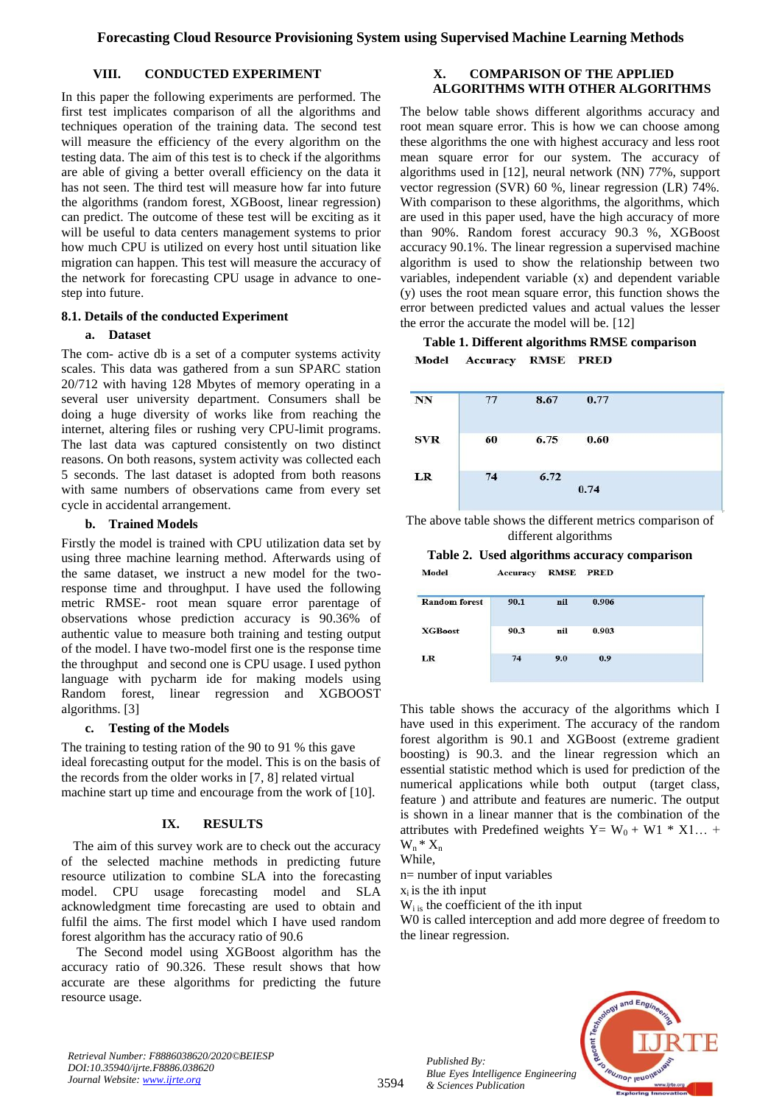# **VIII. CONDUCTED EXPERIMENT**

In this paper the following experiments are performed. The first test implicates comparison of all the algorithms and techniques operation of the training data. The second test will measure the efficiency of the every algorithm on the testing data. The aim of this test is to check if the algorithms are able of giving a better overall efficiency on the data it has not seen. The third test will measure how far into future the algorithms (random forest, XGBoost, linear regression) can predict. The outcome of these test will be exciting as it will be useful to data centers management systems to prior how much CPU is utilized on every host until situation like migration can happen. This test will measure the accuracy of the network for forecasting CPU usage in advance to onestep into future.

## **8.1. Details of the conducted Experiment**

## **a. Dataset**

The com- active db is a set of a computer systems activity scales. This data was gathered from a sun SPARC station 20/712 with having 128 Mbytes of memory operating in a several user university department. Consumers shall be doing a huge diversity of works like from reaching the internet, altering files or rushing very CPU-limit programs. The last data was captured consistently on two distinct reasons. On both reasons, system activity was collected each 5 seconds. The last dataset is adopted from both reasons with same numbers of observations came from every set cycle in accidental arrangement.

## **b. Trained Models**

Firstly the model is trained with CPU utilization data set by using three machine learning method. Afterwards using of the same dataset, we instruct a new model for the tworesponse time and throughput. I have used the following metric RMSE- root mean square error parentage of observations whose prediction accuracy is 90.36% of authentic value to measure both training and testing output of the model. I have two-model first one is the response time the throughput and second one is CPU usage. I used python language with pycharm ide for making models using Random forest, linear regression and XGBOOST algorithms. [3]

# **c. Testing of the Models**

The training to testing ration of the 90 to 91 % this gave ideal forecasting output for the model. This is on the basis of the records from the older works in [7, 8] related virtual machine start up time and encourage from the work of [10].

# **IX. RESULTS**

The aim of this survey work are to check out the accuracy of the selected machine methods in predicting future resource utilization to combine SLA into the forecasting model. CPU usage forecasting model and SLA acknowledgment time forecasting are used to obtain and fulfil the aims. The first model which I have used random forest algorithm has the accuracy ratio of 90.6

The Second model using XGBoost algorithm has the accuracy ratio of 90.326. These result shows that how accurate are these algorithms for predicting the future resource usage.

# **X. COMPARISON OF THE APPLIED ALGORITHMS WITH OTHER ALGORITHMS**

The below table shows different algorithms accuracy and root mean square error. This is how we can choose among these algorithms the one with highest accuracy and less root mean square error for our system. The accuracy of algorithms used in [12], neural network (NN) 77%, support vector regression (SVR) 60 %, linear regression (LR) 74%. With comparison to these algorithms, the algorithms, which are used in this paper used, have the high accuracy of more than 90%. Random forest accuracy 90.3 %, XGBoost accuracy 90.1%. The linear regression a supervised machine algorithm is used to show the relationship between two variables, independent variable (x) and dependent variable (y) uses the root mean square error, this function shows the error between predicted values and actual values the lesser the error the accurate the model will be. [12]

#### **Table 1. Different algorithms RMSE comparison** Accuracy RMSE PRED Model

| <b>NN</b>    | 77 | 8.67 | 0.77 |  |
|--------------|----|------|------|--|
| <b>SVR</b>   | 60 | 6.75 | 0.60 |  |
| usanca<br>LR | 74 | 6.72 | 0.74 |  |

The above table shows the different metrics comparison of different algorithms

**Table 2. Used algorithms accuracy comparison** Model Accuracy RMSE PRED

| <b>Random forest</b> | 90.1 | nil | 0.906 |  |
|----------------------|------|-----|-------|--|
| <b>XGBoost</b>       | 90.3 | nil | 0.903 |  |
| LR                   | 74   | 9.0 | 0.9   |  |

This table shows the accuracy of the algorithms which I have used in this experiment. The accuracy of the random forest algorithm is 90.1 and XGBoost (extreme gradient boosting) is 90.3. and the linear regression which an essential statistic method which is used for prediction of the numerical applications while both output (target class, feature ) and attribute and features are numeric. The output is shown in a linear manner that is the combination of the attributes with Predefined weights Y=  $W_0 + W_1 * X_1...$  $W_n * X_n$ 

While,

n= number of input variables

 $x_i$  is the ith input

 $W_{i}$  is the coefficient of the ith input

W0 is called interception and add more degree of freedom to the linear regression.

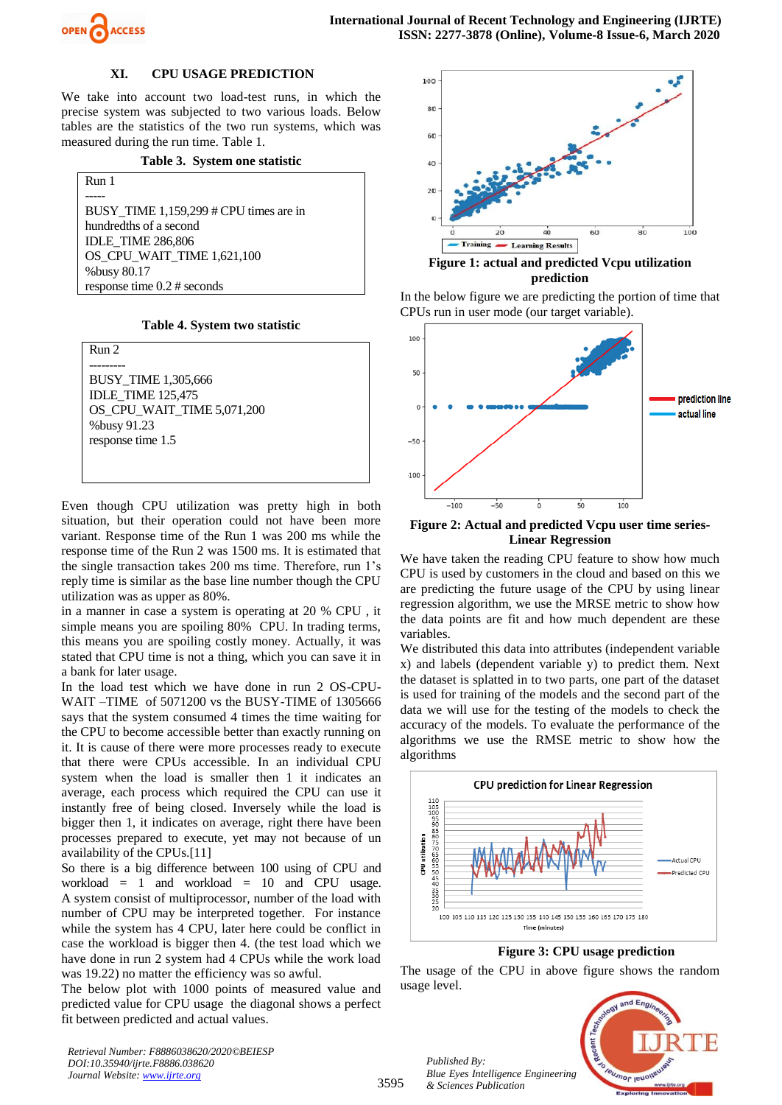

## **XI. CPU USAGE PREDICTION**

We take into account two load-test runs, in which the precise system was subjected to two various loads. Below tables are the statistics of the two run systems, which was measured during the run time. Table 1.

**Table 3. System one statistic** 

Run 1 ----- BUSY TIME 1,159,299 # CPU times are in hundredths of a second IDLE\_TIME 286,806 OS\_CPU\_WAIT\_TIME 1,621,100 %busy 80.17 response time 0.2 # seconds

**Table 4. System two statistic** 

Run 2 --------- BUSY\_TIME 1,305,666 IDLE\_TIME 125,475 OS\_CPU\_WAIT\_TIME 5,071,200 %busy 91.23 response time 1.5

Even though CPU utilization was pretty high in both situation, but their operation could not have been more variant. Response time of the Run 1 was 200 ms while the response time of the Run 2 was 1500 ms. It is estimated that the single transaction takes 200 ms time. Therefore, run 1's reply time is similar as the base line number though the CPU utilization was as upper as 80%.

in a manner in case a system is operating at 20 % CPU , it simple means you are spoiling 80% CPU. In trading terms, this means you are spoiling costly money. Actually, it was stated that CPU time is not a thing, which you can save it in a bank for later usage.

In the load test which we have done in run 2 OS-CPU-WAIT –TIME of 5071200 vs the BUSY-TIME of 1305666 says that the system consumed 4 times the time waiting for the CPU to become accessible better than exactly running on it. It is cause of there were more processes ready to execute that there were CPUs accessible. In an individual CPU system when the load is smaller then 1 it indicates an average, each process which required the CPU can use it instantly free of being closed. Inversely while the load is bigger then 1, it indicates on average, right there have been processes prepared to execute, yet may not because of un availability of the CPUs.[11]

So there is a big difference between 100 using of CPU and workload = 1 and workload = 10 and CPU usage. A system consist of multiprocessor, number of the load with number of CPU may be interpreted together. For instance while the system has 4 CPU, later here could be conflict in case the workload is bigger then 4. (the test load which we have done in run 2 system had 4 CPUs while the work load was 19.22) no matter the efficiency was so awful.

The below plot with 1000 points of measured value and predicted value for CPU usage the diagonal shows a perfect fit between predicted and actual values.

*Retrieval Number: F8886038620/2020©BEIESP DOI:10.35940/ijrte.F8886.038620 Journal Website: www.ijrte.org*



**Figure 1: actual and predicted Vcpu utilization prediction**

In the below figure we are predicting the portion of time that CPUs run in user mode (our target variable).



**Figure 2: Actual and predicted Vcpu user time series-Linear Regression** 

We have taken the reading CPU feature to show how much CPU is used by customers in the cloud and based on this we are predicting the future usage of the CPU by using linear regression algorithm, we use the MRSE metric to show how the data points are fit and how much dependent are these variables.

We distributed this data into attributes (independent variable x) and labels (dependent variable y) to predict them. Next the dataset is splatted in to two parts, one part of the dataset is used for training of the models and the second part of the data we will use for the testing of the models to check the accuracy of the models. To evaluate the performance of the algorithms we use the RMSE metric to show how the algorithms



 **Figure 3: CPU usage prediction**

The usage of the CPU in above figure shows the random usage level.